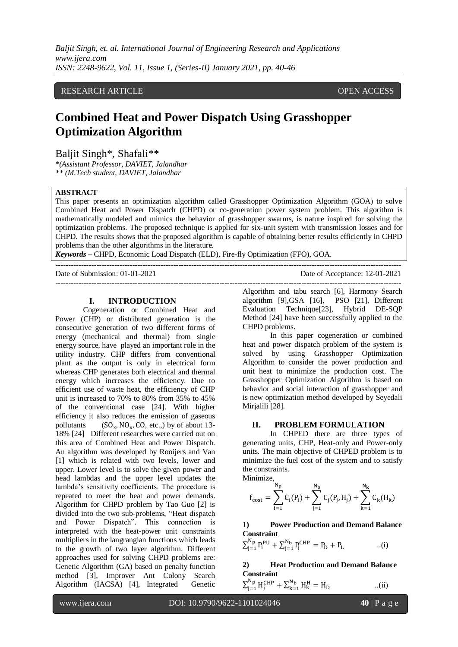*Baljit Singh, et. al. International Journal of Engineering Research and Applications www.ijera.com ISSN: 2248-9622, Vol. 11, Issue 1, (Series-II) January 2021, pp. 40-46*

# RESEARCH ARTICLE **CONTRACT ARTICLE** AND A SERVICE OPEN ACCESS OPEN ACCESS

# **Combined Heat and Power Dispatch Using Grasshopper Optimization Algorithm**

Baljit Singh\*, Shafali\*\*

*\*(Assistant Professor, DAVIET, Jalandhar \*\* (M.Tech student, DAVIET, Jalandhar*

#### **ABSTRACT**

This paper presents an optimization algorithm called Grasshopper Optimization Algorithm (GOA) to solve Combined Heat and Power Dispatch (CHPD) or co-generation power system problem. This algorithm is mathematically modeled and mimics the behavior of grasshopper swarms, is nature inspired for solving the optimization problems. The proposed technique is applied for six-unit system with transmission losses and for CHPD. The results shows that the proposed algorithm is capable of obtaining better results efficiently in CHPD problems than the other algorithms in the literature.

*Keywords* **–** CHPD, Economic Load Dispatch (ELD), Fire-fly Optimization (FFO), GOA.

---------------------------------------------------------------------------------------------------------------------------------------

Date of Submission: 01-01-2021 Date of Acceptance: 12-01-2021

#### ---------------------------------------------------------------------------------------------------------------------------------------

### **I. INTRODUCTION**

Cogeneration or Combined Heat and Power (CHP) or distributed generation is the consecutive generation of two different forms of energy (mechanical and thermal) from single energy source, have played an important role in the utility industry. CHP differs from conventional plant as the output is only in electrical form whereas CHP generates both electrical and thermal energy which increases the efficiency. Due to efficient use of waste heat, the efficiency of CHP unit is increased to 70% to 80% from 35% to 45% of the conventional case [24]. With higher efficiency it also reduces the emission of gaseous pollutants ( ,  $NO<sub>x</sub>$ , CO, etc.,) by of about 13-18% [24] Different researches were carried out on this area of Combined Heat and Power Dispatch. An algorithm was developed by Rooijers and Van [1] which is related with two levels, lower and upper. Lower level is to solve the given power and head lambdas and the upper level updates the lambda's sensitivity coefficients. The procedure is repeated to meet the heat and power demands. Algorithm for CHPD problem by Tao Guo [2] is divided into the two sub-problems, "Heat dispatch and Power Dispatch". This connection is interpreted with the heat-power unit constraints multipliers in the langrangian functions which leads to the growth of two layer algorithm. Different approaches used for solving CHPD problems are: Genetic Algorithm (GA) based on penalty function method [3], Improver Ant Colony Search Algorithm (IACSA) [4], Integrated Genetic

Algorithm and tabu search [6], Harmony Search algorithm [9],GSA [16], PSO [21], Different Evaluation Technique[23], Hybrid DE-SQP Method [24] have been successfully applied to the CHPD problems.

In this paper cogeneration or combined heat and power dispatch problem of the system is solved by using Grasshopper Optimization Algorithm to consider the power production and unit heat to minimize the production cost. The Grasshopper Optimization Algorithm is based on behavior and social interaction of grasshopper and is new optimization method developed by Seyedali Mirjalili [28].

#### **II. PROBLEM FORMULATION**

In CHPED there are three types of generating units, CHP, Heat-only and Power-only units. The main objective of CHPED problem is to minimize the fuel cost of the system and to satisfy the constraints.

Minimize,

 $\sum_{j=1}^{Np} H_j^C$ 

$$
f_{cost} = \sum_{i=1}^{N_p} C_i(P_i) + \sum_{j=1}^{N_b} C_j(P_j, H_j) + \sum_{k=1}^{N_k} C_k(H_k)
$$

**1) Power Production and Demand Balance Constraint**

$$
\Sigma_{j=1}^{N_{\rm p}} P_i^{\rm PU} + \Sigma_{j=1}^{N_{\rm b}} P_j^{\rm CHP} = P_{\rm D} + P_{\rm L} \qquad \qquad ..(i)
$$

**2) Heat Production and Demand Balance Constraint**  $_{k=1}^{N_b} H_k^H = H_D$  ...(ii)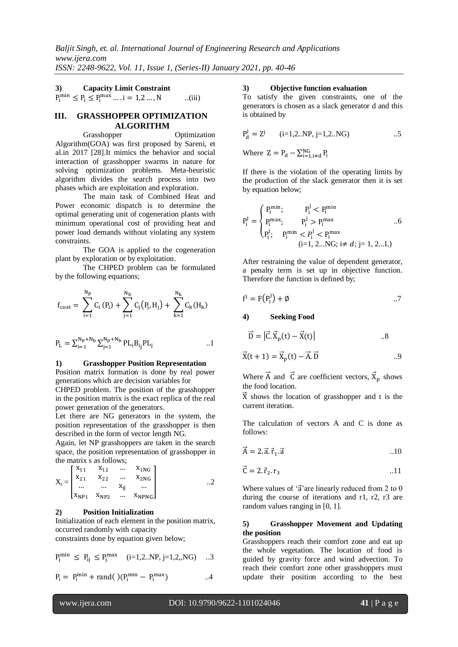# **3) Capacity Limit Constraint**

 $P_i^{\min} \le P_i \le P_i^{\max} \dots i = 1, 2 \dots, N$  ...(iii)

#### **III. GRASSHOPPER OPTIMIZATION ALGORITHM**

Grasshopper Optimization Algorithm(GOA) was first proposed by Sareni, et al.in 2017 [28].It mimics the behavior and social interaction of grasshopper swarms in nature for solving optimization problems. Meta-heuristic algorithm divides the search process into two phases which are exploitation and exploration.

The main task of Combined Heat and Power economic dispatch is to determine the optimal generating unit of cogeneration plants with minimum operational cost of providing heat and power load demands without violating any system constraints.

The GOA is applied to the cogeneration plant by exploration or by exploitation.

The CHPED problem can be formulated by the following equations;

$$
f_{cost} = \ \sum_{i=1}^{N_{\rm p}} C_i \left( P_i \right) + \sum_{j=1}^{N_{\rm b}} C_j \big( P_j, H_j \big) + \ \sum_{k=1}^{N_{\rm k}} C_k (H_k)
$$

$$
P_L = \Sigma_{i=1}^{N_p + N_b} \Sigma_{j=1}^{N_p + N_b} PL_i B_{i_j} PL_j
$$
 ...1

#### **1) Grasshopper Position Representation**

Position matrix formation is done by real power generations which are decision variables for

CHPED problem. The position of the grasshopper in the position matrix is the exact replica of the real power generation of the generators.

Let there are NG generators in the system, the position representation of the grasshopper is then described in the form of vector length NG.

Again, let NP grasshoppers are taken in the search space, the position representation of grasshopper in the matrix s as follows;

$$
X_i = \begin{bmatrix} x_{11} & x_{12} & \dots & x_{1NG} \\ x_{21} & x_{22} & \dots & x_{2NG} \\ \dots & \dots & x_{ij} & \dots \\ x_{NP1} & x_{NP2} & \dots & x_{NPNG} \end{bmatrix} \qquad \qquad \dots 2
$$

#### **2) Position Initialization**

Initialization of each element in the position matrix, occurred randomly with capacity constraints done by equation given below;

$$
P_j^{min} \; \leq \; P_{ij} \; \leq P_j^{max} \quad (i{=}1{,}2..NP,j{=}1{,}2{,}NG) \quad ...3
$$

$$
P_i = P_i^{\min} + \text{rand}( ) (P_i^{\min} - P_i^{\max} ) \qquad \qquad \ldots 4
$$

#### **3) Objective function evaluation**

To satisfy the given constraints, one of the generators is chosen as a slack generator d and this is obtained by

$$
P_d^j = Z^j \qquad (i=1,2..NP, j=1,2..NG) \qquad \qquad ...5
$$

Where  $Z = P_d - \sum_{i=1, i \neq d}^{NG} P_i$ 

If there is the violation of the operating limits by the production of the slack generator then it is set by equation below;

$$
P_i^j = \begin{cases} P_i^{\min} ; & P_i^j < P_i^{\min} \\ P_i^{\max} ; & P_i^j > P_i^{\max} \\ P_i^j , & P_i^{\min} < P_i^j < P_i^{\max} \\ (i=1, 2...NG; i\neq d; j=1, 2...L) \end{cases} . .6
$$

After restraining the value of dependent generator, a penalty term is set up in objective function. Therefore the function is defined by;

$$
f^j = F(P_i^j) + \emptyset
$$

#### **4) Seeking Food**

$$
\vec{D} = |\vec{C} \cdot \vec{X}_p(t) - \vec{X}(t)| \qquad .8
$$

$$
\vec{X}(t+1) = \vec{X}_p(t) - \vec{A} \cdot \vec{D}
$$

Where  $\vec{A}$  and  $\vec{C}$  are coefficient vectors,  $\vec{X}_p$  shows the food location.

 $\overrightarrow{X}$  shows the location of grasshopper and t is the current iteration.

The calculation of vectors A and C is done as follows:

$$
\vec{A} = 2 \cdot \vec{a} \cdot \vec{r}_1 \cdot \vec{a} \tag{10}
$$

$$
\vec{C} = 2.\vec{r}_2.r_3 \tag{11}
$$

Where values of ' $\vec{a}$ ' are linearly reduced from 2 to 0 during the course of iterations and r1, r2, r3 are random values ranging in [0, 1].

#### **5) Grasshopper Movement and Updating the position**

Grasshoppers reach their comfort zone and eat up the whole vegetation. The location of food is guided by gravity force and wind advection. To reach their comfort zone other grasshoppers must update their position according to the best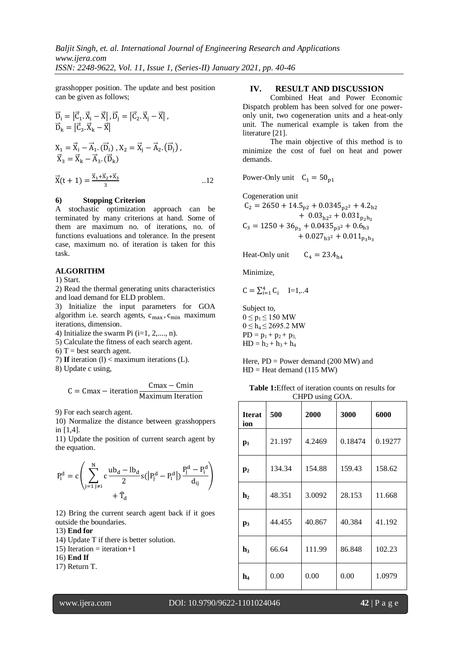grasshopper position. The update and best position can be given as follows;

$$
\vec{D}_{i} = |\vec{C}_{1} \cdot \vec{X}_{i} - \vec{X}|, \vec{D}_{j} = |\vec{C}_{2} \cdot \vec{X}_{j} - \vec{X}|,
$$
\n
$$
\vec{D}_{k} = |\vec{C}_{3} \cdot \vec{X}_{k} - \vec{X}|
$$
\n
$$
X_{1} = \vec{X}_{i} - \vec{A}_{1} \cdot (\vec{D}_{i}), X_{2} = \vec{X}_{j} - \vec{A}_{2} \cdot (\vec{D}_{j}),
$$
\n
$$
\vec{X}_{3} = \vec{X}_{k} - \vec{A}_{3} \cdot (\vec{D}_{k})
$$
\n
$$
\vec{X}(t + 1) = \frac{\vec{X}_{1} + \vec{X}_{2} + \vec{X}_{3}}{3} \qquad \qquad ...(12)
$$

#### **6) Stopping Criterion**

A stochastic optimization approach can be terminated by many criterions at hand. Some of them are maximum no. of iterations, no. of functions evaluations and tolerance. In the present case, maximum no. of iteration is taken for this task.

#### **ALGORITHM**

1) Start.

2) Read the thermal generating units characteristics and load demand for ELD problem.

3) Initialize the input parameters for GOA algorithm i.e. search agents,  $c_{\text{max}}$ ,  $c_{\text{min}}$  maximum iterations, dimension.

4) Initialize the swarm Pi  $(i=1, 2, \ldots, n)$ .

- 5) Calculate the fitness of each search agent.
- 6) T = best search agent.
- 7) **If** iteration (l) < maximum iterations (L).
- 8) Update c using,

$$
C = Cmax - iteration \frac{Cmax - Cmin}{Maximum Iteration}
$$

9) For each search agent.

10) Normalize the distance between grasshoppers in [1,4].

11) Update the position of current search agent by the equation.

$$
P_i^d = c \Bigg( \sum_{j=1\, j\neq i}^N c\frac{ub_d - lb_d}{2} s(\big|P_j^d - P_i^d\big|) \frac{P_j^d - P_i^d}{d_{ij}}\Bigg) \\ + \widehat{T}_d
$$

12) Bring the current search agent back if it goes outside the boundaries.

#### 13) **End for**

- 14) Update T if there is better solution.
- 15) Iteration = iteration + 1
- 16) **End If**

17) Return T.

# **IV. RESULT AND DISCUSSION**

Combined Heat and Power Economic Dispatch problem has been solved for one poweronly unit, two cogeneration units and a heat-only unit. The numerical example is taken from the literature [21].

The main objective of this method is to minimize the cost of fuel on heat and power demands.

Power-Only unit  $C_1 = 50_{p1}$ 

Cogeneration unit  $C_2 = 2650 + 14.5_{n2} + 0.0345_{n2}$  $+ 0.03<sub>h2</sub>$  $C_3 = 1250 + 36_{p_2} + 0.0435_{p_3}$  $+0.027_{h3}$ <sup>2</sup>

 $C_4 = 23.4_{h4}$ Heat-Only unit

Minimize,

$$
C = \sum_{i=1}^{4} C_i \quad I=1,..4
$$

Subject to,  $0 \le p_1 \le 150$  MW  $0 \le h_4 \le 2695.2$  MW  $PD = p_1 + p_2 + p_3$  $HD = h_2 + h_3 + h_4$ 

Here,  $PD = Power$  demand (200 MW) and  $HD = Heat demand (115 MW)$ 

| <b>Table 1:</b> Effect of iteration counts on results for |  |
|-----------------------------------------------------------|--|
| CHPD using GOA.                                           |  |

| <b>Iterat</b><br>ion | 500    | 2000   | 3000    | 6000    |  |
|----------------------|--------|--------|---------|---------|--|
| $p_1$                | 21.197 | 4.2469 | 0.18474 | 0.19277 |  |
| $\mathbf{p}_2$       | 134.34 | 154.88 | 159.43  | 158.62  |  |
| $\mathbf{h}_2$       | 48.351 | 3.0092 | 28.153  | 11.668  |  |
| $\mathbf{p}_3$       | 44.455 | 40.867 | 40.384  | 41.192  |  |
| h3                   | 66.64  | 111.99 | 86.848  | 102.23  |  |
| $\mathbf{h}_4$       | 0.00   | 0.00   | 0.00    | 1.0979  |  |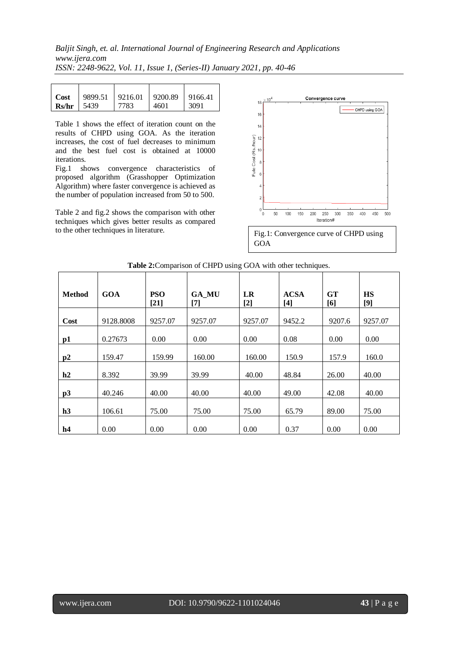# *Baljit Singh, et. al. International Journal of Engineering Research and Applications www.ijera.com*

*ISSN: 2248-9622, Vol. 11, Issue 1, (Series-II) January 2021, pp. 40-46*

| Cost         | 9899.51 | $9216.01$ 9200.89 |      | 9166.41 |
|--------------|---------|-------------------|------|---------|
| $Rs/hr$ 5439 |         | 7783              | 4601 | 3091    |

Table 1 shows the effect of iteration count on the results of CHPD using GOA. As the iteration increases, the cost of fuel decreases to minimum and the best fuel cost is obtained at 10000 iterations.

Fig.1 shows convergence characteristics of proposed algorithm (Grasshopper Optimization Algorithm) where faster convergence is achieved as the number of population increased from 50 to 500.

Table 2 and fig.2 shows the comparison with other techniques which gives better results as compared to the other techniques in literature.



| <b>Method</b>  | <b>GOA</b> | <b>PSO</b><br>$[21]$ | <b>GA_MU</b><br>[7] | <b>LR</b><br>$[2]$ | <b>ACSA</b><br>$[4]$ | <b>GT</b><br>[6] | <b>HS</b><br>[9] |
|----------------|------------|----------------------|---------------------|--------------------|----------------------|------------------|------------------|
| Cost           | 9128.8008  | 9257.07              | 9257.07             | 9257.07            | 9452.2               | 9207.6           | 9257.07          |
| p1             | 0.27673    | 0.00                 | 0.00                | 0.00               | 0.08                 | 0.00             | 0.00             |
| p2             | 159.47     | 159.99               | 160.00              | 160.00             | 150.9                | 157.9            | 160.0            |
| h2             | 8.392      | 39.99                | 39.99               | 40.00              | 48.84                | 26.00            | 40.00            |
| p3             | 40.246     | 40.00                | 40.00               | 40.00              | 49.00                | 42.08            | 40.00            |
| h3             | 106.61     | 75.00                | 75.00               | 75.00              | 65.79                | 89.00            | 75.00            |
| h <sub>4</sub> | 0.00       | 0.00                 | 0.00                | 0.00               | 0.37                 | 0.00             | 0.00             |

# **Table 2:**Comparison of CHPD using GOA with other techniques.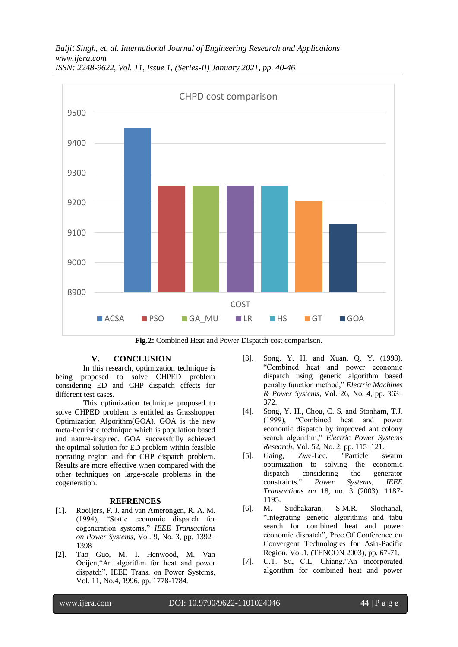*Baljit Singh, et. al. International Journal of Engineering Research and Applications www.ijera.com ISSN: 2248-9622, Vol. 11, Issue 1, (Series-II) January 2021, pp. 40-46*



**Fig.2:** Combined Heat and Power Dispatch cost comparison.

# **V. CONCLUSION**

In this research, optimization technique is being proposed to solve CHPED problem considering ED and CHP dispatch effects for different test cases.

This optimization technique proposed to solve CHPED problem is entitled as Grasshopper Optimization Algorithm(GOA). GOA is the new meta-heuristic technique which is population based and nature-inspired. GOA successfully achieved the optimal solution for ED problem within feasible operating region and for CHP dispatch problem. Results are more effective when compared with the other techniques on large-scale problems in the cogeneration.

# **REFRENCES**

- [1]. Rooijers, F. J. and van Amerongen, R. A. M. (1994), "Static economic dispatch for cogeneration systems," *IEEE Transactions on Power Systems*, Vol. 9, No. 3, pp. 1392– 1398
- [2]. Tao Guo, M. I. Henwood, M. Van Ooijen,"An algorithm for heat and power dispatch", IEEE Trans. on Power Systems, Vol. 11, No.4, 1996, pp. 1778-1784.
- [3]. Song, Y. H. and Xuan, Q. Y. (1998), "Combined heat and power economic dispatch using genetic algorithm based penalty function method," *Electric Machines & Power Systems*, Vol. 26, No. 4, pp. 363– 372.
- [4]. Song, Y. H., Chou, C. S. and Stonham, T.J. (1999), "Combined heat and power economic dispatch by improved ant colony search algorithm," *Electric Power Systems Research*, Vol. 52, No. 2, pp. 115–121.
- [5]. Gaing, Zwe-Lee. "Particle swarm optimization to solving the economic dispatch considering the generator constraints." *Power Systems, IEEE Transactions on* 18, no. 3 (2003): 1187- 1195.
- [6]. M. Sudhakaran, S.M.R. Slochanal, "Integrating genetic algorithms and tabu search for combined heat and power economic dispatch", Proc.Of Conference on Convergent Technologies for Asia-Pacific Region, Vol.1, (TENCON 2003), pp. 67-71.
- [7]. C.T. Su, C.L. Chiang,"An incorporated algorithm for combined heat and power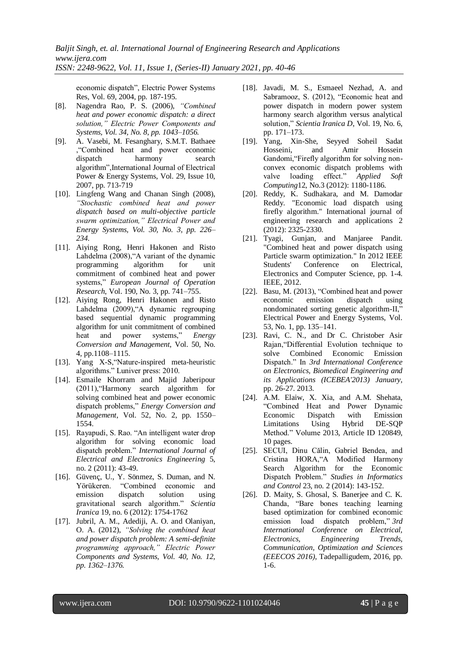economic dispatch", Electric Power Systems Res, Vol. 69, 2004, pp. 187-195.

- [8]. Nagendra Rao, P. S. (2006), *"Combined heat and power economic dispatch: a direct solution," Electric Power Components and Systems, Vol. 34, No. 8, pp. 1043–1056.*
- [9]. A. Vasebi, M. Fesanghary, S.M.T. Bathaee ,"Combined heat and power economic dispatch harmony search algorithm",International Journal of Electrical Power & Energy Systems, Vol. 29, Issue 10, 2007, pp. 713-719
- [10]. Lingfeng Wang and Chanan Singh (2008), *"Stochastic combined heat and power dispatch based on multi-objective particle swarm optimization," Electrical Power and Energy Systems, Vol. 30, No. 3, pp. 226– 234.*
- [11]. Aiying Rong, Henri Hakonen and Risto Lahdelma (2008),"A variant of the dynamic programming algorithm for unit commitment of combined heat and power systems," *European Journal of Operation Research*, Vol. 190, No. 3, pp. 741–755.
- [12]. Aiying Rong, Henri Hakonen and Risto Lahdelma (2009),"A dynamic regrouping based sequential dynamic programming algorithm for unit commitment of combined heat and power systems," *Energy Conversion and Management*, Vol. 50, No. 4, pp.1108–1115.
- [13]. Yang X-S,"Nature-inspired meta-heuristic algorithms." Luniver press: 2010.
- [14]. Esmaile Khorram and Majid Jaberipour (2011),"Harmony search algorithm for solving combined heat and power economic dispatch problems," *Energy Conversion and Management*, Vol. 52, No. 2, pp. 1550– 1554.
- [15]. Rayapudi, S. Rao. "An intelligent water drop algorithm for solving economic load dispatch problem." *International Journal of Electrical and Electronics Engineering* 5, no. 2 (2011): 43-49.
- [16]. Güvenç, U., Y. Sönmez, S. Duman, and N. Yörükeren. "Combined economic and emission dispatch solution using gravitational search algorithm." *Scientia Iranica* 19, no. 6 (2012): 1754-1762
- [17]. Jubril, A. M., Adediji, A. O. and Olaniyan, O. A. (2012), *"Solving the combined heat and power dispatch problem: A semi-definite programming approach," Electric Power Components and Systems, Vol. 40, No. 12, pp. 1362–1376.*
- [18]. Javadi, M. S., Esmaeel Nezhad, A. and Sabramooz, S. (2012), "Economic heat and power dispatch in modern power system harmony search algorithm versus analytical solution," *Scientia Iranica D*, Vol. 19, No. 6, pp. 171–173.
- [19]. Yang, Xin-She, Seyyed Soheil Sadat Hosseini, and Amir Hossein Gandomi,"Firefly algorithm for solving nonconvex economic dispatch problems with valve loading effect." *Applied Soft Computing*12, No.3 (2012): 1180-1186.
- [20]. Reddy, K. Sudhakara, and M. Damodar Reddy. "Economic load dispatch using firefly algorithm." International journal of engineering research and applications 2 (2012): 2325-2330.
- [21]. Tyagi, Gunjan, and Manjaree Pandit. "Combined heat and power dispatch using Particle swarm optimization." In 2012 IEEE Students' Conference on Electrical, Electronics and Computer Science, pp. 1-4. IEEE, 2012.
- [22]. Basu, M. (2013), "Combined heat and power economic emission dispatch using nondominated sorting genetic algorithm-II," Electrical Power and Energy Systems, Vol. 53, No. 1, pp. 135–141.
- [23]. Ravi, C. N., and Dr C. Christober Asir Rajan,"Differential Evolution technique to solve Combined Economic Emission Dispatch." In *3rd International Conference on Electronics, Biomedical Engineering and its Applications (ICEBEA'2013) January*, pp. 26-27. 2013.
- [24]. A.M. Elaiw, X. Xia, and A.M. Shehata, "Combined Heat and Power Dynamic Economic Dispatch with Emission Limitations Using Hybrid DE-SQP Method." Volume 2013, Article ID 120849, 10 pages.
- [25]. SECUI, Dinu Călin, Gabriel Bendea, and Cristina HORA,"A Modified Harmony Search Algorithm for the Economic Dispatch Problem." *Studies in Informatics and Control* 23, no. 2 (2014): 143-152.
- [26]. D. Maity, S. Ghosal, S. Banerjee and C. K. Chanda, "Bare bones teaching learning based optimization for combined economic emission load dispatch problem," *3rd International Conference on Electrical, Electronics, Engineering Trends, Communication, Optimization and Sciences (EEECOS 2016)*, Tadepalligudem, 2016, pp. 1-6.